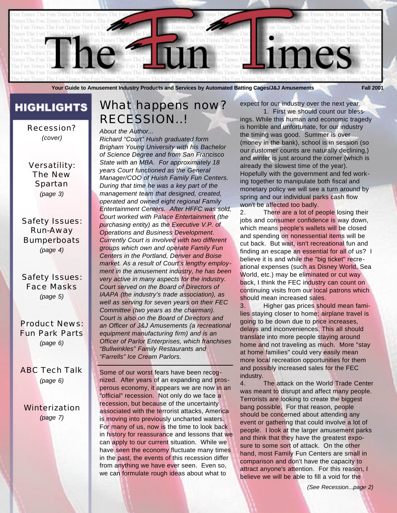

**Your Guide to Amusement Industry Products and Services by Automated Batting Cages/J&J Amusements Fall 2001**

## **HIGHLIGHTS**

Recession? *(cover)*

Versatility: The New Spartan *(page 3)*

Safety Issues: Run-Away **Bumperboats** *(page 4)*

Safety Issues: Face Masks *(page 5)*

Product News: Fun Park Parts *(page 6)*

ABC Tech Talk *(page 6)*

Winterization *(page 7)*

## What happens now? RECESSION..!

*About the Author...*

*Richard "Court" Huish graduated form Brigham Young University with his Bachelor of Science Degree and from San Francisco State with an MBA. For approximately 18 years Court functioned as the General Manager/COO of Huish Family Fun Centers. During that time he was a key part of the management team that designed, created, operated and owned eight regional Family Entertainment Centers. After HFFC was sold, Court worked with Palace Entertainment (the purchasing entity) as the Executive V.P. of Operations and Business Development. Currently Court is involved with two different groups which own and operate Family Fun Centers in the Portland, Denver and Boise market. As a result of Court's lengthy employment in the amusement industry, he has been very active in many aspects for the industry. Court served on the Board of Directors of IAAPA (the industry's trade association), as well as serving for seven years on their FEC Committee (two years as the chairman). Court is also on the Board of Directors and an Officer of J&J Amusements (a recreational equipment manufacturing firm) and is an Officer of Parlor Enterprises, which franchises "Bullwinkles" Family Restaurants and "Farrells" Ice Cream Parlors.*

Some of our worst fears have been recognized. After years of an expanding and prosperous economy, it appears we are now in an "official" recession. Not only do we face a recession, but because of the uncertainty associated with the terrorist attacks, America is moving into previously uncharted waters. For many of us, now is the time to look back in history for reassurance and lessons that we can apply to our current situation. While we have seen the economy fluctuate many times in the past, the events of this recession differ from anything we have ever seen. Even so, we can formulate rough ideas about what to

expect for our industry over the next year. 1. First we should count our bless-

ings. While this human and economic tragedy is horrible and unfortunate, for our industry the timing was good. Summer is over (money in the bank), school is in session (so our customer counts are naturally declining,) and winter is just around the corner (which is already the slowest time of the year). Hopefully with the government and fed working together to manipulate both fiscal and monetary policy we will see a turn around by spring and our individual parks cash flow won't be affected too badly.

2. There are a lot of people losing their jobs and consumer confidence is way down, which means people's wallets will be closed and spending on nonessential items will be cut back. But wait, isn't recreational fun and finding an escape an essential for all of us? I believe it is and while the "big ticket" recreational expenses (such as Disney World, Sea World, etc.) may be eliminated or cut way back, I think the FEC industry can count on continuing visits from our local patrons which should mean increased sales.

3. Higher gas prices should mean families staying closer to home; airplane travel is going to be down due to price increases, delays and inconveniences. This all should translate into more people staying around home and not traveling as much. More "stay at home families" could very easily mean more local recreation opportunities for them and possibly increased sales for the FEC industry.

4. The attack on the World Trade Center was meant to disrupt and affect many people. Terrorists are looking to create the biggest bang possible. For that reason, people should be concerned about attending any event or gathering that could involve a lot of people. I look at the larger amusement parks and think that they have the greatest exposure to some sort of attack. On the other hand, most Family Fun Centers are small in comparison and don't have the capacity to attract anyone's attention. For this reason, I believe we will be able to fill a void for the

*(See Recession...page 2)*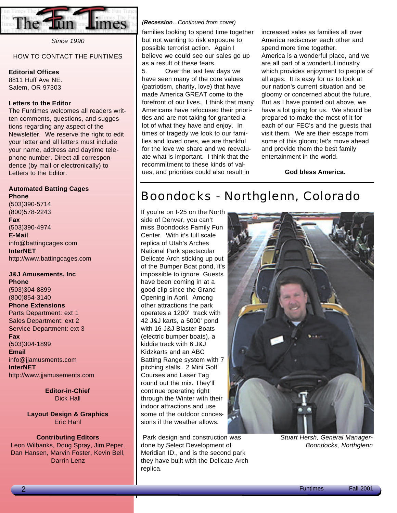

*Since 1990*

### HOW TO CONTACT THE FUNTIMES

### **Editorial Offices**

8811 Huff Ave NE. Salem, OR 97303

### **Letters to the Editor**

The Funtimes welcomes all readers written comments, questions, and suggestions regarding any aspect of the Newsletter. We reserve the right to edit your letter and all letters must include your name, address and daytime telephone number. Direct all correspondence (by mail or electronically) to Letters to the Editor.

### **Automated Batting Cages**

**Phone** (503)390-5714 (800)578-2243 **Fax** (503)390-4974 **E-Mail** info@battingcages.com **InterNET** http://www.battingcages.com

### **J&J Amusements, Inc**

**Phone** (503)304-8899 (800)854-3140 **Phone Extensions** Parts Department: ext 1 Sales Department: ext 2 Service Department: ext 3 **Fax** (503)304-1899

**Email** info@jjamusments.com **InterNET** http://www.jjamusements.com

> **Editor-in-Chief** Dick Hall

**Layout Design & Graphics** Eric Hahl

#### **Contributing Editors**

Leon Wilbanks, Doug Spray, Jim Peper, Dan Hansen, Marvin Foster, Kevin Bell, Darrin Lenz

#### *(Recession...Continued from cover)*

families looking to spend time together but not wanting to risk exposure to possible terrorist action. Again I believe we could see our sales go up as a result of these fears.

5. Over the last few days we have seen many of the core values (patriotism, charity, love) that have made America GREAT come to the forefront of our lives. I think that many Americans have refocused their priorities and are not taking for granted a lot of what they have and enjoy. In times of tragedy we look to our families and loved ones, we are thankful for the love we share and we reevaluate what is important. I think that the recommitment to these kinds of values, and priorities could also result in

increased sales as families all over America rediscover each other and spend more time together. America is a wonderful place, and we are all part of a wonderful industry which provides enjoyment to people of all ages. It is easy for us to look at our nation's current situation and be gloomy or concerned about the future. But as I have pointed out above, we have a lot going for us. We should be prepared to make the most of it for each of our FEC's and the guests that visit them. We are their escape from some of this gloom; let's move ahead and provide them the best family entertainment in the world.

**God bless America.**

## Boondocks - Northglenn, Colorado

If you're on I-25 on the North side of Denver, you can't miss Boondocks Family Fun Center. With it's full scale replica of Utah's Arches National Park spectacular Delicate Arch sticking up out of the Bumper Boat pond, it's impossible to ignore. Guests have been coming in at a good clip since the Grand Opening in April. Among other attractions the park operates a 1200' track with 42 J&J karts, a 5000' pond with 16 J&J Blaster Boats (electric bumper boats), a kiddie track with 6 J&J Kidzkarts and an ABC Batting Range system with 7 pitching stalls. 2 Mini Golf Courses and Laser Tag round out the mix. They'll continue operating right through the Winter with their indoor attractions and use some of the outdoor concessions if the weather allows.

Park design and construction was done by Select Development of Meridian ID., and is the second park they have built with the Delicate Arch replica.



*Stuart Hersh, General Manager-Boondocks, Northglenn*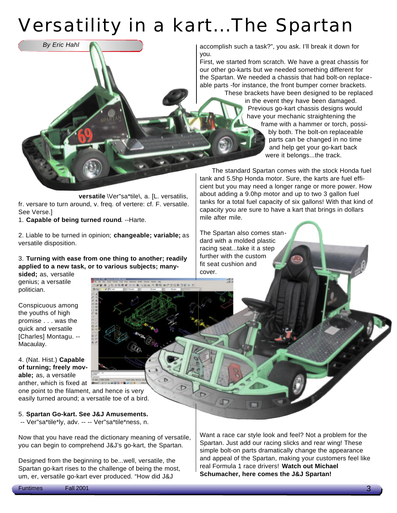# Versatility in a kart...The Spartan

accomplish such a task?", you ask. I'll break it down for you.

First, we started from scratch. We have a great chassis for our other go-karts but we needed something different for the Spartan. We needed a chassis that had bolt-on replaceable parts -for instance, the front bumper corner brackets.

These brackets have been designed to be replaced in the event they have been damaged. Previous go-kart chassis designs would have your mechanic straightening the frame with a hammer or torch, possibly both. The bolt-on replaceable parts can be changed in no time and help get your go-kart back were it belongs...the track.

The standard Spartan comes with the stock Honda fuel tank and 5.5hp Honda motor. Sure, the karts are fuel efficient but you may need a longer range or more power. How about adding a 9.0hp motor and up to two 3 gallon fuel tanks for a total fuel capacity of six gallons! With that kind of capacity you are sure to have a kart that brings in dollars mile after mile.

The Spartan also comes standard with a molded plastic racing seat...take it a step further with the custom fit seat cushion and cover.

温泉

**versatile** \Ver"sa\*tile\, a. [L. versatilis, fr. versare to turn around, v. freq. of vertere: cf. F. versatile. See Verse.]

1. **Capable of being turned round**. --Harte.

*By Eric Hahl*

2. Liable to be turned in opinion; **changeable; variable;** as versatile disposition.

### 3. **Turning with ease from one thing to another; readily applied to a new task, or to various subjects; manysided;** as, versatile

genius; a versatile politician.

Conspicuous among the youths of high promise . . . was the quick and versatile [Charles] Montagu. -- Macaulay.

4. (Nat. Hist.) **Capable of turning; freely movable;** as, a versatile anther, which is fixed at

one point to the filament, and hence is very easily turned around; a versatile toe of a bird.

5. **Spartan Go-kart. See J&J Amusements.**

-- Ver"sa\*tile\*ly, adv. -- -- Ver"sa\*tile\*ness, n.

Now that you have read the dictionary meaning of versatile, you can begin to comprehend J&J's go-kart, the Spartan.

Designed from the beginning to be...well, versatile, the Spartan go-kart rises to the challenge of being the most, um, er, versatile go-kart ever produced. "How did J&J

Want a race car style look and feel? Not a problem for the Spartan. Just add our racing slicks and rear wing! These simple bolt-on parts dramatically change the appearance and appeal of the Spartan, making your customers feel like real Formula 1 race drivers! **Watch out Michael Schumacher, here comes the J&J Spartan!**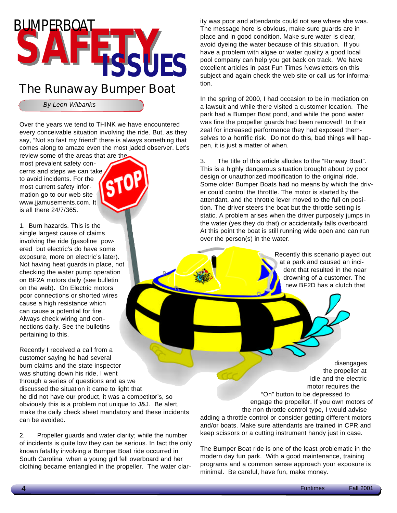

## The Runaway Bumper Boat

*By Leon Wilbanks*

Over the years we tend to THINK we have encountered every conceivable situation involving the ride. But, as they say, "Not so fast my friend" there is always something that comes along to amaze even the most jaded observer. Let's

review some of the areas that are the most prevalent safety concerns and steps we can take to avoid incidents. For the most current safety information go to our web site www.jjamusements.com. It is all there 24/7/365.



1. Burn hazards. This is the single largest cause of claims involving the ride (gasoline powered but electric's do have some exposure, more on electric's later). Not having heat guards in place, not checking the water pump operation on BF2A motors daily (see bulletin on the web). On Electric motors poor connections or shorted wires cause a high resistance which can cause a potential for fire. Always check wiring and connections daily. See the bulletins pertaining to this.

Recently I received a call from a customer saying he had several burn claims and the state inspector was shutting down his ride, I went through a series of questions and as we discussed the situation it came to light that he did not have our product, it was a competitor's, so obviously this is a problem not unique to J&J. Be alert, make the daily check sheet mandatory and these incidents can be avoided.

2. Propeller guards and water clarity; while the number of incidents is quite low they can be serious. In fact the only known fatality involving a Bumper Boat ride occurred in South Carolina when a young girl fell overboard and her clothing became entangled in the propeller. The water clarity was poor and attendants could not see where she was. The message here is obvious, make sure guards are in place and in good condition. Make sure water is clear, avoid dyeing the water because of this situation. If you have a problem with algae or water quality a good local pool company can help you get back on track. We have excellent articles in past Fun Times Newsletters on this subject and again check the web site or call us for information.

In the spring of 2000, I had occasion to be in mediation on a lawsuit and while there visited a customer location. The park had a Bumper Boat pond, and while the pond water was fine the propeller guards had been removed! In their zeal for increased performance they had exposed themselves to a horrific risk. Do not do this, bad things will happen, it is just a matter of when.

3. The title of this article alludes to the "Runway Boat". This is a highly dangerous situation brought about by poor design or unauthorized modification to the original ride. Some older Bumper Boats had no means by which the driver could control the throttle. The motor is started by the attendant, and the throttle lever moved to the full on position. The driver steers the boat but the throttle setting is static. A problem arises when the driver purposely jumps in the water (yes they do that) or accidentally falls overboard. At this point the boat is still running wide open and can run over the person(s) in the water.

> Recently this scenario played out at a park and caused an incident that resulted in the near drowning of a customer. The new BF2D has a clutch that

disengages the propeller at idle and the electric motor requires the "On" button to be depressed to engage the propeller. If you own motors of the non throttle control type, I would advise adding a throttle control or consider getting different motors and/or boats. Make sure attendants are trained in CPR and keep scissors or a cutting instrument handy just in case.

The Bumper Boat ride is one of the least problematic in the modern day fun park. With a good maintenance, training programs and a common sense approach your exposure is minimal. Be careful, have fun, make money.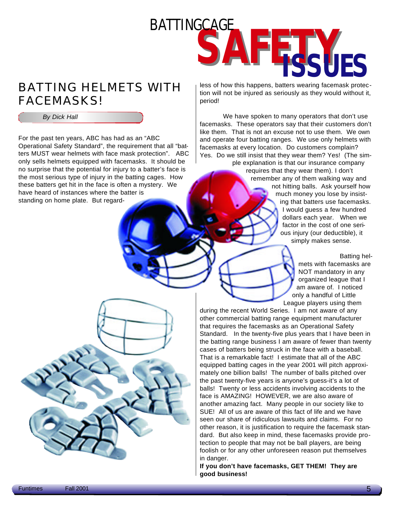

## BATTING HELMETS WITH FACEMASKS!

*By Dick Hall*

For the past ten years, ABC has had as an "ABC Operational Safety Standard", the requirement that all "batters MUST wear helmets with face mask protection". ABC only sells helmets equipped with facemasks. It should be no surprise that the potential for injury to a batter's face is the most serious type of injury in the batting cages. How these batters get hit in the face is often a mystery. We have heard of instances where the batter is standing on home plate. But regardless of how this happens, batters wearing facemask protection will not be injured as seriously as they would without it, period!

We have spoken to many operators that don't use facemasks. These operators say that their customers don't like them. That is not an excuse not to use them. We own and operate four batting ranges. We use only helmets with facemasks at every location. Do customers complain? Yes. Do we still insist that they wear them? Yes! (The simple explanation is that our insurance company

requires that they wear them). I don't remember any of them walking way and not hitting balls. Ask yourself how much money you lose by insisting that batters use facemasks. I would guess a few hundred dollars each year. When we factor in the cost of one serious injury (our deductible), it simply makes sense.

> Batting helmets with facemasks are NOT mandatory in any organized league that I am aware of. I noticed only a handful of Little League players using them

during the recent World Series. I am not aware of any other commercial batting range equipment manufacturer that requires the facemasks as an Operational Safety Standard. In the twenty-five plus years that I have been in the batting range business I am aware of fewer than twenty cases of batters being struck in the face with a baseball. That is a remarkable fact! I estimate that all of the ABC equipped batting cages in the year 2001 will pitch approximately one billion balls! The number of balls pitched over the past twenty-five years is anyone's guess-it's a lot of balls! Twenty or less accidents involving accidents to the face is AMAZING! HOWEVER, we are also aware of another amazing fact. Many people in our society like to SUE! All of us are aware of this fact of life and we have seen our share of ridiculous lawsuits and claims. For no other reason, it is justification to require the facemask standard. But also keep in mind, these facemasks provide protection to people that may not be ball players, are being foolish or for any other unforeseen reason put themselves in danger.

**If you don't have facemasks, GET THEM! They are good business!**

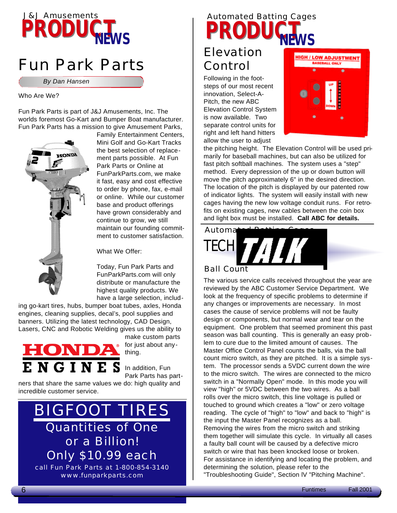## **PRODUCT***NEWS* J&J Amusements

## Fun Park Parts

*By Dan Hansen*

### Who Are We?

Fun Park Parts is part of J&J Amusements, Inc. The worlds foremost Go-Kart and Bumper Boat manufacturer. Fun Park Parts has a mission to give Amusement Parks,



Family Entertainment Centers, Mini Golf and Go-Kart Tracks the best selection of replacement parts possible. At Fun Park Parts or Online at FunParkParts.com, we make it fast, easy and cost effective to order by phone, fax, e-mail or online. While our customer base and product offerings have grown considerably and continue to grow, we still maintain our founding commitment to customer satisfaction.

What We Offer:

Today, Fun Park Parts and FunParkParts.com will only distribute or manufacture the highest quality products. We have a large selection, includ-

ing go-kart tires, hubs, bumper boat tubes, axles, Honda engines, cleaning supplies, decal's, pool supplies and banners. Utilizing the latest technology, CAD Design, Lasers, CNC and Robotic Welding gives us the ability to



make custom parts for just about anything.

In addition, Fun Park Parts has part-

ners that share the same values we do: high quality and incredible customer service.

## BIGFOOT TIRES Quantities of One or a Billion! Only \$10.99 each call Fun Park Parts at 1-800-854-3140

www.funparkparts.com

## **PRODUCT***NEWS* Automated Batting Cages

## Elevation Control

Following in the footsteps of our most recent innovation, Select-A-Pitch, the new ABC Elevation Control System is now available. Two separate control units for right and left hand hitters allow the user to adjust



the pitching height. The Elevation Control will be used primarily for baseball machines, but can also be utilized for fast pitch softball machines. The system uses a "step" method. Every depression of the up or down button will move the pitch approximately 6" in the desired direction. The location of the pitch is displayed by our patented row of indicator lights. The system will easily install with new cages having the new low voltage conduit runs. For retrofits on existing cages, new cables between the coin box and light box must be installed. **Call ABC for details.**



### Ball Count

The various service calls received throughout the year are reviewed by the ABC Customer Service Department. We look at the frequency of specific problems to determine if any changes or improvements are necessary. In most cases the cause of service problems will not be faulty design or components, but normal wear and tear on the equipment. One problem that seemed prominent this past season was ball counting. This is generally an easy problem to cure due to the limited amount of causes. The Master Office Control Panel counts the balls, via the ball count micro switch, as they are pitched. It is a simple system. The processor sends a 5VDC current down the wire to the micro switch. The wires are connected to the micro switch in a "Normally Open" mode. In this mode you will view "high" or 5VDC between the two wires. As a ball rolls over the micro switch, this line voltage is pulled or touched to ground which creates a "low" or zero voltage reading. The cycle of "high" to "low" and back to "high" is the input the Master Panel recognizes as a ball. Removing the wires from the micro switch and striking them together will simulate this cycle. In virtually all cases a faulty ball count will be caused by a defective micro switch or wire that has been knocked loose or broken. For assistance in identifying and locating the problem, and determining the solution, please refer to the "Troubleshooting Guide", Section lV "Pitching Machine".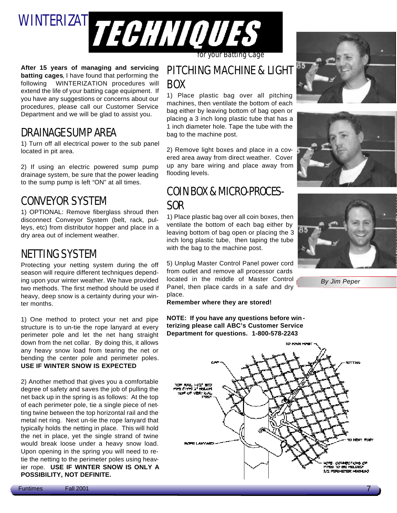

**After 15 years of managing and servicing batting cages**, I have found that performing the following WINTERIZATION procedures will extend the life of your batting cage equipment. If you have any suggestions or concerns about our procedures, please call our Customer Service Department and we will be glad to assist you.

## DRAINAGESUMP AREA

1) Turn off all electrical power to the sub panel located in pit area.

2) If using an electric powered sump pump drainage system, be sure that the power leading to the sump pump is left "ON" at all times.

## CONVEYOR SYSTEM

1) OPTIONAL: Remove fiberglass shroud then disconnect Conveyor System (belt, rack, pulleys, etc) from distributor hopper and place in a dry area out of inclement weather.

### NETTING SYSTEM

Protecting your netting system during the off season will require different techniques depending upon your winter weather. We have provided two methods. The first method should be used if heavy, deep snow is a certainty during your winter months.

1) One method to protect your net and pipe structure is to un-tie the rope lanyard at every perimeter pole and let the net hang straight down from the net collar. By doing this, it allows any heavy snow load from tearing the net or bending the center pole and perimeter poles. **USE IF WINTER SNOW IS EXPECTED**

2) Another method that gives you a comfortable degree of safety and saves the job of pulling the net back up in the spring is as follows: At the top of each perimeter pole, tie a single piece of netting twine between the top horizontal rail and the metal net ring. Next un-tie the rope lanyard that typically holds the netting in place. This will hold the net in place, yet the single strand of twine would break loose under a heavy snow load. Upon opening in the spring you will need to retie the netting to the perimeter poles using heavier rope. **USE IF WINTER SNOW IS ONLY A POSSIBILITY, NOT DEFINITE.**

### PITCHING MACHINE & LIGHT BOX

1) Place plastic bag over all pitching machines, then ventilate the bottom of each bag either by leaving bottom of bag open or placing a 3 inch long plastic tube that has a 1 inch diameter hole. Tape the tube with the bag to the machine post.

2) Remove light boxes and place in a covered area away from direct weather. Cover up any bare wiring and place away from flooding levels.

## COIN BOX& MICRO-PROCES-SOR

1) Place plastic bag over all coin boxes, then ventilate the bottom of each bag either by leaving bottom of bag open or placing the 3 inch long plastic tube, then taping the tube with the bag to the machine post.

5) Unplug Master Control Panel power cord from outlet and remove all processor cards located in the middle of Master Control Panel, then place cards in a safe and dry place.

**Remember where they are stored!**

**NOTE: If you have any questions before win terizing please call ABC's Customer Service Department for questions. 1-800-578-2243**









*By Jim Peper*